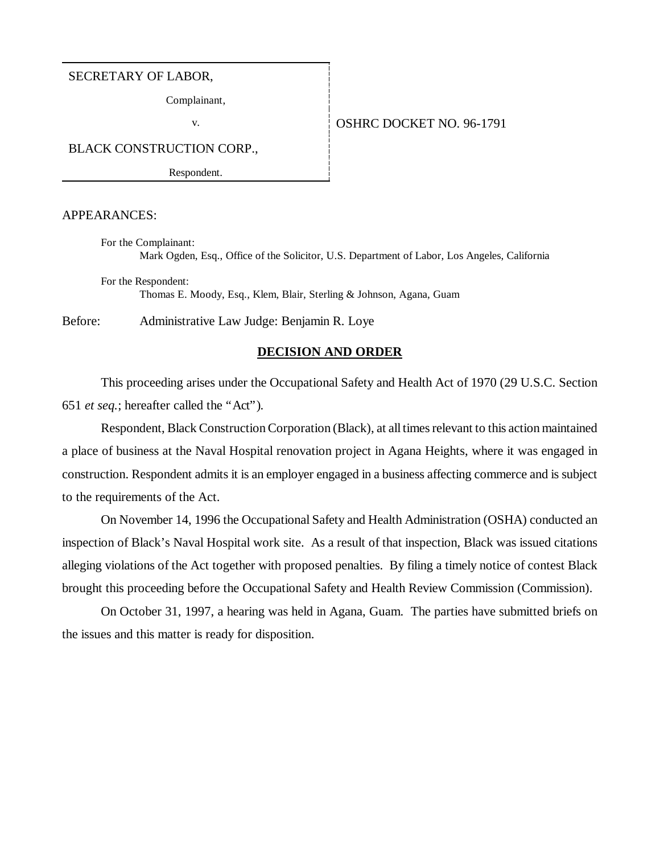#### SECRETARY OF LABOR,

Complainant,

## v. 0SHRC DOCKET NO. 96-1791

BLACK CONSTRUCTION CORP.,

Respondent.

## APPEARANCES:

For the Complainant: Mark Ogden, Esq., Office of the Solicitor, U.S. Department of Labor, Los Angeles, California

For the Respondent: Thomas E. Moody, Esq., Klem, Blair, Sterling & Johnson, Agana, Guam

Before: Administrative Law Judge: Benjamin R. Loye

## **DECISION AND ORDER**

This proceeding arises under the Occupational Safety and Health Act of 1970 (29 U.S.C. Section 651 *et seq.*; hereafter called the "Act").

Respondent, Black Construction Corporation (Black), at all times relevant to this action maintained a place of business at the Naval Hospital renovation project in Agana Heights, where it was engaged in construction. Respondent admits it is an employer engaged in a business affecting commerce and is subject to the requirements of the Act.

On November 14, 1996 the Occupational Safety and Health Administration (OSHA) conducted an inspection of Black's Naval Hospital work site. As a result of that inspection, Black was issued citations alleging violations of the Act together with proposed penalties. By filing a timely notice of contest Black brought this proceeding before the Occupational Safety and Health Review Commission (Commission).

On October 31, 1997, a hearing was held in Agana, Guam. The parties have submitted briefs on the issues and this matter is ready for disposition.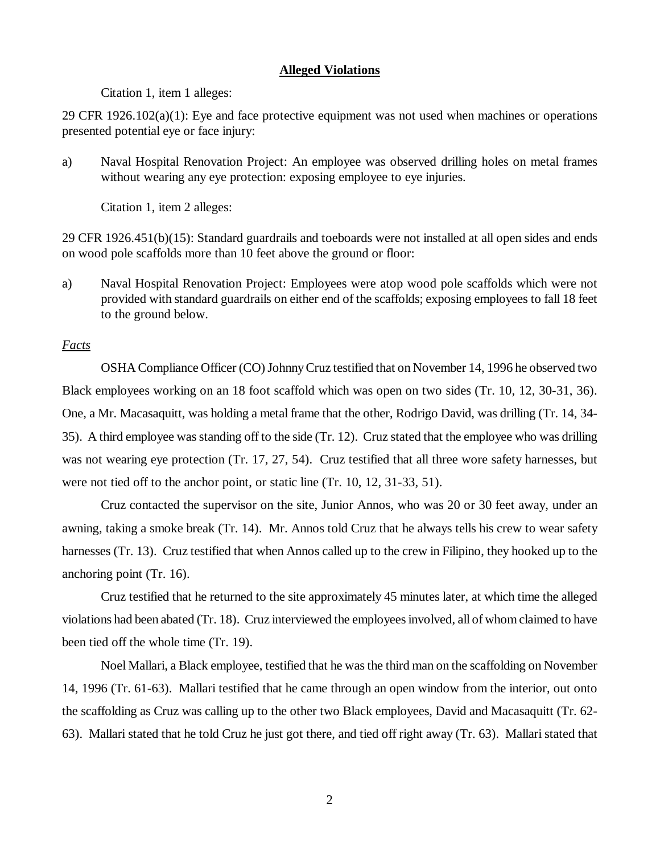## **Alleged Violations**

Citation 1, item 1 alleges:

29 CFR 1926.102(a)(1): Eye and face protective equipment was not used when machines or operations presented potential eye or face injury:

a) Naval Hospital Renovation Project: An employee was observed drilling holes on metal frames without wearing any eye protection: exposing employee to eye injuries.

Citation 1, item 2 alleges:

29 CFR 1926.451(b)(15): Standard guardrails and toeboards were not installed at all open sides and ends on wood pole scaffolds more than 10 feet above the ground or floor:

a) Naval Hospital Renovation Project: Employees were atop wood pole scaffolds which were not provided with standard guardrails on either end of the scaffolds; exposing employees to fall 18 feet to the ground below.

# *Facts*

OSHA Compliance Officer (CO) Johnny Cruz testified that on November 14, 1996 he observed two Black employees working on an 18 foot scaffold which was open on two sides (Tr. 10, 12, 30-31, 36). One, a Mr. Macasaquitt, was holding a metal frame that the other, Rodrigo David, was drilling (Tr. 14, 34- 35). A third employee was standing off to the side (Tr. 12). Cruz stated that the employee who was drilling was not wearing eye protection (Tr. 17, 27, 54). Cruz testified that all three wore safety harnesses, but were not tied off to the anchor point, or static line (Tr. 10, 12, 31-33, 51).

Cruz contacted the supervisor on the site, Junior Annos, who was 20 or 30 feet away, under an awning, taking a smoke break (Tr. 14). Mr. Annos told Cruz that he always tells his crew to wear safety harnesses (Tr. 13). Cruz testified that when Annos called up to the crew in Filipino, they hooked up to the anchoring point (Tr. 16).

Cruz testified that he returned to the site approximately 45 minutes later, at which time the alleged violations had been abated (Tr. 18). Cruz interviewed the employees involved, all of whom claimed to have been tied off the whole time (Tr. 19).

Noel Mallari, a Black employee, testified that he was the third man on the scaffolding on November 14, 1996 (Tr. 61-63). Mallari testified that he came through an open window from the interior, out onto the scaffolding as Cruz was calling up to the other two Black employees, David and Macasaquitt (Tr. 62- 63). Mallari stated that he told Cruz he just got there, and tied off right away (Tr. 63). Mallari stated that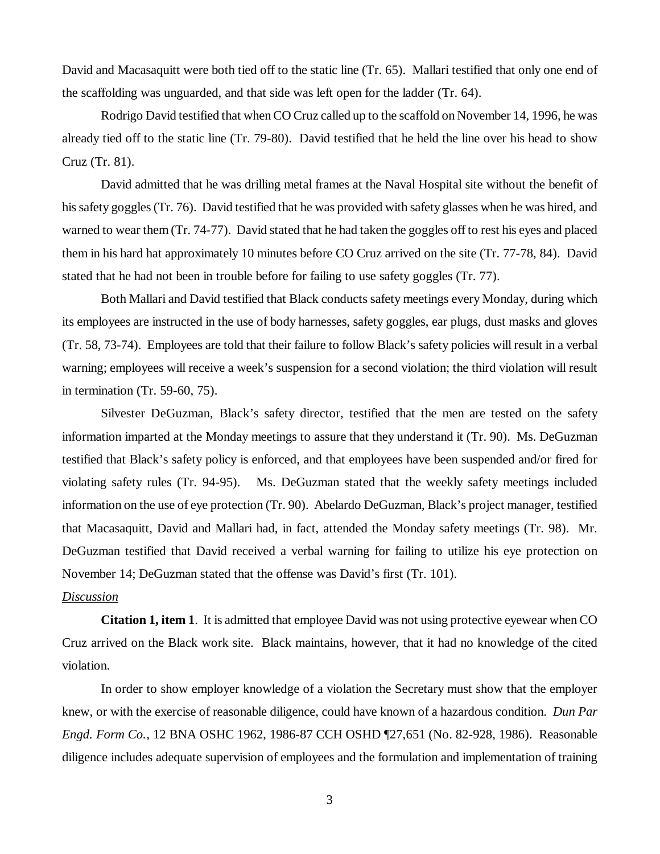David and Macasaquitt were both tied off to the static line (Tr. 65). Mallari testified that only one end of the scaffolding was unguarded, and that side was left open for the ladder (Tr. 64).

Rodrigo David testified that when CO Cruz called up to the scaffold on November 14, 1996, he was already tied off to the static line (Tr. 79-80). David testified that he held the line over his head to show Cruz (Tr. 81).

David admitted that he was drilling metal frames at the Naval Hospital site without the benefit of his safety goggles (Tr. 76). David testified that he was provided with safety glasses when he was hired, and warned to wear them (Tr. 74-77). David stated that he had taken the goggles off to rest his eyes and placed them in his hard hat approximately 10 minutes before CO Cruz arrived on the site (Tr. 77-78, 84). David stated that he had not been in trouble before for failing to use safety goggles (Tr. 77).

Both Mallari and David testified that Black conducts safety meetings every Monday, during which its employees are instructed in the use of body harnesses, safety goggles, ear plugs, dust masks and gloves (Tr. 58, 73-74). Employees are told that their failure to follow Black's safety policies will result in a verbal warning; employees will receive a week's suspension for a second violation; the third violation will result in termination (Tr. 59-60, 75).

Silvester DeGuzman, Black's safety director, testified that the men are tested on the safety information imparted at the Monday meetings to assure that they understand it (Tr. 90). Ms. DeGuzman testified that Black's safety policy is enforced, and that employees have been suspended and/or fired for violating safety rules (Tr. 94-95). Ms. DeGuzman stated that the weekly safety meetings included information on the use of eye protection (Tr. 90). Abelardo DeGuzman, Black's project manager, testified that Macasaquitt, David and Mallari had, in fact, attended the Monday safety meetings (Tr. 98). Mr. DeGuzman testified that David received a verbal warning for failing to utilize his eye protection on November 14; DeGuzman stated that the offense was David's first (Tr. 101).

## *Discussion*

**Citation 1, item 1**. It is admitted that employee David was not using protective eyewear when CO Cruz arrived on the Black work site. Black maintains, however, that it had no knowledge of the cited violation.

In order to show employer knowledge of a violation the Secretary must show that the employer knew, or with the exercise of reasonable diligence, could have known of a hazardous condition. *Dun Par Engd. Form Co.*, 12 BNA OSHC 1962, 1986-87 CCH OSHD ¶27,651 (No. 82-928, 1986). Reasonable diligence includes adequate supervision of employees and the formulation and implementation of training